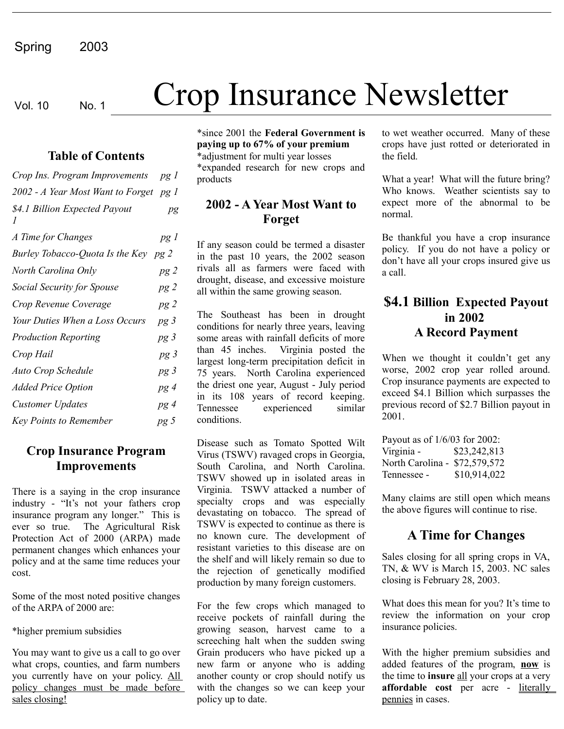# Vol. 10 No. 1 Crop Insurance Newsletter

#### **Table of Contents**

| Crop Ins. Program Improvements            | pg <sub>1</sub> |
|-------------------------------------------|-----------------|
| 2002 - A Year Most Want to Forget         | pg 1            |
| \$4.1 Billion Expected Payout<br>$\prime$ | pg              |
| A Time for Changes                        | pg 1            |
| Burley Tobacco-Quota Is the Key pg 2      |                 |
| North Carolina Only                       | pg2             |
| Social Security for Spouse                | pg2             |
| Crop Revenue Coverage                     | pg2             |
| Your Duties When a Loss Occurs            | pg 3            |
| <b>Production Reporting</b>               | pg <sub>3</sub> |
| Crop Hail                                 | pg <sub>3</sub> |
| <b>Auto Crop Schedule</b>                 | pg 3            |
| <b>Added Price Option</b>                 | pg 4            |
| <b>Customer Updates</b>                   | pg 4            |
| <b>Key Points to Remember</b>             | pg 5            |

#### **Crop Insurance Program Improvements**

There is a saying in the crop insurance industry - "It's not your fathers crop insurance program any longer." This is ever so true. The Agricultural Risk Protection Act of 2000 (ARPA) made permanent changes which enhances your policy and at the same time reduces your cost.

Some of the most noted positive changes of the ARPA of 2000 are:

\*higher premium subsidies

You may want to give us a call to go over what crops, counties, and farm numbers you currently have on your policy. All policy changes must be made before sales closing!

\*since 2001 the **Federal Government is paying up to 67% of your premium** \*adjustment for multi year losses \*expanded research for new crops and products

### **2002 - A Year Most Want to Forget**

If any season could be termed a disaster in the past 10 years, the 2002 season rivals all as farmers were faced with drought, disease, and excessive moisture all within the same growing season.

The Southeast has been in drought conditions for nearly three years, leaving some areas with rainfall deficits of more than 45 inches. Virginia posted the largest long-term precipitation deficit in 75 years. North Carolina experienced the driest one year, August - July period in its 108 years of record keeping. Tennessee experienced similar conditions.

Disease such as Tomato Spotted Wilt Virus (TSWV) ravaged crops in Georgia, South Carolina, and North Carolina. TSWV showed up in isolated areas in Virginia. TSWV attacked a number of specialty crops and was especially devastating on tobacco. The spread of TSWV is expected to continue as there is no known cure. The development of resistant varieties to this disease are on the shelf and will likely remain so due to the rejection of genetically modified production by many foreign customers.

For the few crops which managed to receive pockets of rainfall during the growing season, harvest came to a screeching halt when the sudden swing Grain producers who have picked up a new farm or anyone who is adding another county or crop should notify us with the changes so we can keep your policy up to date.

to wet weather occurred. Many of these crops have just rotted or deteriorated in the field.

What a year! What will the future bring? Who knows. Weather scientists say to expect more of the abnormal to be normal.

Be thankful you have a crop insurance policy. If you do not have a policy or don't have all your crops insured give us a call.

#### **\$4.1 Billion Expected Payout in 2002 A Record Payment**

When we thought it couldn't get any worse, 2002 crop year rolled around. Crop insurance payments are expected to exceed \$4.1 Billion which surpasses the previous record of \$2.7 Billion payout in 2001.

Payout as of 1/6/03 for 2002: Virginia - \$23,242,813 North Carolina - \$72,579,572 Tennessee - \$10,914,022

Many claims are still open which means the above figures will continue to rise.

## **A Time for Changes**

Sales closing for all spring crops in VA, TN, & WV is March 15, 2003. NC sales closing is February 28, 2003.

What does this mean for you? It's time to review the information on your crop insurance policies.

With the higher premium subsidies and added features of the program, **now** is the time to **insure** all your crops at a very **affordable** cost per acre - literally pennies in cases.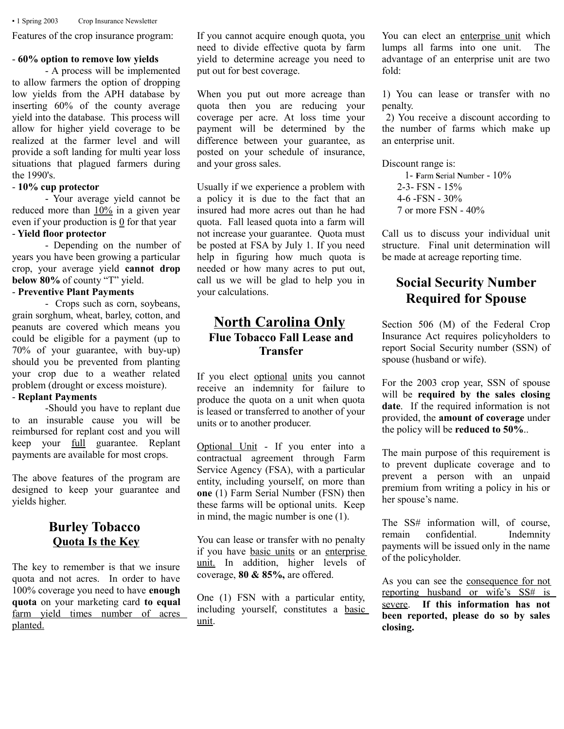▪ 1 Spring 2003 Crop Insurance Newsletter

Features of the crop insurance program:

#### - **60% option to remove low yields**

- A process will be implemented to allow farmers the option of dropping low yields from the APH database by inserting 60% of the county average yield into the database. This process will allow for higher yield coverage to be realized at the farmer level and will provide a soft landing for multi year loss situations that plagued farmers during the 1990's.

#### - **10% cup protector**

- Your average yield cannot be reduced more than  $10\%$  in a given year even if your production is  $\mathbf{0}$  for that year - **Yield floor protector**

- Depending on the number of years you have been growing a particular crop, your average yield **cannot drop below 80%** of county "T" yield.

#### - **Preventive Plant Payments**

- Crops such as corn, soybeans, grain sorghum, wheat, barley, cotton, and peanuts are covered which means you could be eligible for a payment (up to 70% of your guarantee, with buy-up) should you be prevented from planting your crop due to a weather related problem (drought or excess moisture).

#### - **Replant Payments**

-Should you have to replant due to an insurable cause you will be reimbursed for replant cost and you will keep your full guarantee. Replant payments are available for most crops.

The above features of the program are designed to keep your guarantee and yields higher.

#### **Burley Tobacco Quota Is the Key**

The key to remember is that we insure quota and not acres. In order to have 100% coverage you need to have **enough quota** on your marketing card **to equal** farm yield times number of acres planted.

If you cannot acquire enough quota, you need to divide effective quota by farm yield to determine acreage you need to put out for best coverage.

When you put out more acreage than quota then you are reducing your coverage per acre. At loss time your payment will be determined by the difference between your guarantee, as posted on your schedule of insurance, and your gross sales.

Usually if we experience a problem with a policy it is due to the fact that an insured had more acres out than he had quota. Fall leased quota into a farm will not increase your guarantee. Quota must be posted at FSA by July 1. If you need help in figuring how much quota is needed or how many acres to put out, call us we will be glad to help you in your calculations.

#### **North Carolina Only Flue Tobacco Fall Lease and Transfer**

If you elect optional units you cannot receive an indemnity for failure to produce the quota on a unit when quota is leased or transferred to another of your units or to another producer.

Optional Unit - If you enter into a contractual agreement through Farm Service Agency (FSA), with a particular entity, including yourself, on more than **one** (1) Farm Serial Number (FSN) then these farms will be optional units. Keep in mind, the magic number is one (1).

You can lease or transfer with no penalty if you have basic units or an enterprise unit. In addition, higher levels of coverage, **80 & 85%,** are offered.

One (1) FSN with a particular entity, including yourself, constitutes a basic unit.

You can elect an enterprise unit which lumps all farms into one unit. The advantage of an enterprise unit are two fold:

1) You can lease or transfer with no penalty.

 2) You receive a discount according to the number of farms which make up an enterprise unit.

Discount range is:

 1- **F**arm **S**erial **N**umber - 10% 2-3- FSN - 15% 4-6 -FSN - 30% 7 or more FSN - 40%

Call us to discuss your individual unit structure. Final unit determination will be made at acreage reporting time.

## **Social Security Number Required for Spouse**

Section 506 (M) of the Federal Crop Insurance Act requires policyholders to report Social Security number (SSN) of spouse (husband or wife).

For the 2003 crop year, SSN of spouse will be **required by the sales closing date**. If the required information is not provided, the **amount of coverage** under the policy will be **reduced to 50%**..

The main purpose of this requirement is to prevent duplicate coverage and to prevent a person with an unpaid premium from writing a policy in his or her spouse's name.

The SS# information will, of course, remain confidential. Indemnity payments will be issued only in the name of the policyholder.

As you can see the consequence for not reporting husband or wife's SS# is severe. **If this information has not been reported, please do so by sales closing.**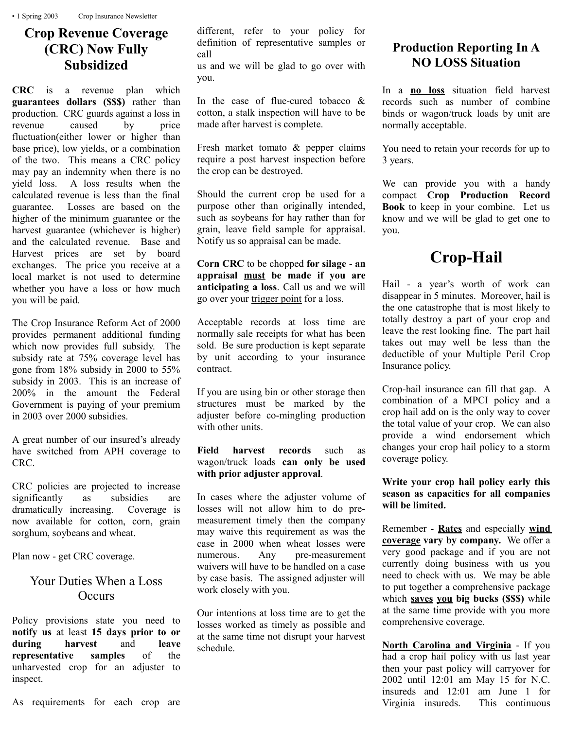## **Crop Revenue Coverage (CRC) Now Fully Subsidized**

**CRC** is a revenue plan which **guarantees dollars (\$\$\$)** rather than production. CRC guards against a loss in revenue caused by price fluctuation(either lower or higher than base price), low yields, or a combination of the two. This means a CRC policy may pay an indemnity when there is no yield loss. A loss results when the calculated revenue is less than the final guarantee. Losses are based on the higher of the minimum guarantee or the harvest guarantee (whichever is higher) and the calculated revenue. Base and Harvest prices are set by board exchanges. The price you receive at a local market is not used to determine whether you have a loss or how much you will be paid.

The Crop Insurance Reform Act of 2000 provides permanent additional funding which now provides full subsidy. The subsidy rate at 75% coverage level has gone from 18% subsidy in 2000 to 55% subsidy in 2003. This is an increase of 200% in the amount the Federal Government is paying of your premium in 2003 over 2000 subsidies.

A great number of our insured's already have switched from APH coverage to CRC.

CRC policies are projected to increase significantly as subsidies are dramatically increasing. Coverage is now available for cotton, corn, grain sorghum, soybeans and wheat.

Plan now - get CRC coverage.

#### Your Duties When a Loss **Occurs**

Policy provisions state you need to **notify us** at least **15 days prior to or during harvest** and **leave representative samples** of the unharvested crop for an adjuster to inspect.

different, refer to your policy for definition of representative samples or call

us and we will be glad to go over with you.

In the case of flue-cured tobacco & cotton, a stalk inspection will have to be made after harvest is complete.

Fresh market tomato & pepper claims require a post harvest inspection before the crop can be destroyed.

Should the current crop be used for a purpose other than originally intended, such as soybeans for hay rather than for grain, leave field sample for appraisal. Notify us so appraisal can be made.

**Corn CRC** to be chopped **for silage** - **an appraisal must be made if you are anticipating a loss**. Call us and we will go over your trigger point for a loss.

Acceptable records at loss time are normally sale receipts for what has been sold. Be sure production is kept separate by unit according to your insurance contract.

If you are using bin or other storage then structures must be marked by the adjuster before co-mingling production with other units.

#### **Field harvest records** such as wagon/truck loads **can only be used with prior adjuster approval**.

In cases where the adjuster volume of losses will not allow him to do premeasurement timely then the company may waive this requirement as was the case in 2000 when wheat losses were numerous. Any pre-measurement waivers will have to be handled on a case by case basis. The assigned adjuster will work closely with you.

Our intentions at loss time are to get the losses worked as timely as possible and at the same time not disrupt your harvest schedule.

## **Production Reporting In A NO LOSS Situation**

In a **no loss** situation field harvest records such as number of combine binds or wagon/truck loads by unit are normally acceptable.

You need to retain your records for up to 3 years.

We can provide you with a handy compact **Crop Production Record Book** to keep in your combine. Let us know and we will be glad to get one to you.

# **Crop-Hail**

Hail - a year's worth of work can disappear in 5 minutes. Moreover, hail is the one catastrophe that is most likely to totally destroy a part of your crop and leave the rest looking fine. The part hail takes out may well be less than the deductible of your Multiple Peril Crop Insurance policy.

Crop-hail insurance can fill that gap. A combination of a MPCI policy and a crop hail add on is the only way to cover the total value of your crop. We can also provide a wind endorsement which changes your crop hail policy to a storm coverage policy.

**Write your crop hail policy early this season as capacities for all companies will be limited.**

Remember - **Rates** and especially **wind coverage vary by company.** We offer a very good package and if you are not currently doing business with us you need to check with us. We may be able to put together a comprehensive package which **saves you big bucks (\$\$\$)** while at the same time provide with you more comprehensive coverage.

**North Carolina and Virginia** - If you had a crop hail policy with us last year then your past policy will carryover for 2002 until 12:01 am May 15 for N.C. insureds and 12:01 am June 1 for Virginia insureds. This continuous

As requirements for each crop are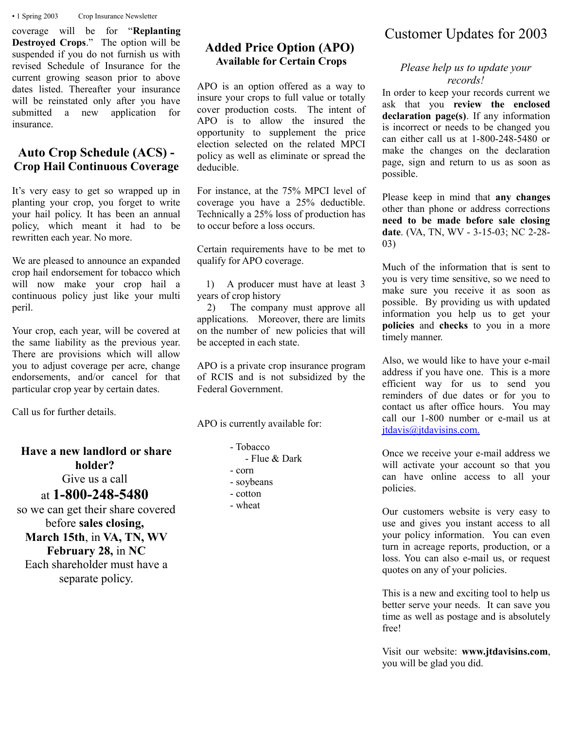▪ 1 Spring 2003 Crop Insurance Newsletter

coverage will be for "**Replanting Destroyed Crops**." The option will be suspended if you do not furnish us with revised Schedule of Insurance for the current growing season prior to above dates listed. Thereafter your insurance will be reinstated only after you have submitted a new application for insurance.

#### **Auto Crop Schedule (ACS) - Crop Hail Continuous Coverage**

It's very easy to get so wrapped up in planting your crop, you forget to write your hail policy. It has been an annual policy, which meant it had to be rewritten each year. No more.

We are pleased to announce an expanded crop hail endorsement for tobacco which will now make your crop hail a continuous policy just like your multi peril.

Your crop, each year, will be covered at the same liability as the previous year. There are provisions which will allow you to adjust coverage per acre, change endorsements, and/or cancel for that particular crop year by certain dates.

Call us for further details.

## **Have a new landlord or share holder?**

Give us a call

at **1-800-248-5480**

so we can get their share covered before **sales closing, March 15th**, in **VA, TN, WV February 28,** in **NC** Each shareholder must have a separate policy.

#### **Added Price Option (APO) Available for Certain Crops**

APO is an option offered as a way to insure your crops to full value or totally cover production costs. The intent of APO is to allow the insured the opportunity to supplement the price election selected on the related MPCI policy as well as eliminate or spread the deducible.

For instance, at the 75% MPCI level of coverage you have a 25% deductible. Technically a 25% loss of production has to occur before a loss occurs.

Certain requirements have to be met to qualify for APO coverage.

 1) A producer must have at least 3 years of crop history

 2) The company must approve all applications. Moreover, there are limits on the number of new policies that will be accepted in each state.

APO is a private crop insurance program of RCIS and is not subsidized by the Federal Government.

APO is currently available for:

- Tobacco
	- Flue & Dark
- corn
- soybeans
- cotton
- wheat

# Customer Updates for 2003

#### *Please help us to update your records!*

In order to keep your records current we ask that you **review the enclosed declaration page(s)**. If any information is incorrect or needs to be changed you can either call us at 1-800-248-5480 or make the changes on the declaration page, sign and return to us as soon as possible.

Please keep in mind that **any changes** other than phone or address corrections **need to be made before sale closing date**. (VA, TN, WV - 3-15-03; NC 2-28- 03)

Much of the information that is sent to you is very time sensitive, so we need to make sure you receive it as soon as possible. By providing us with updated information you help us to get your **policies** and **checks** to you in a more timely manner.

Also, we would like to have your e-mail address if you have one. This is a more efficient way for us to send you reminders of due dates or for you to contact us after office hours. You may call our 1-800 number or e-mail us at jtdavis@jtdavisins.com.

Once we receive your e-mail address we will activate your account so that you can have online access to all your policies.

Our customers website is very easy to use and gives you instant access to all your policy information. You can even turn in acreage reports, production, or a loss. You can also e-mail us, or request quotes on any of your policies.

This is a new and exciting tool to help us better serve your needs. It can save you time as well as postage and is absolutely free!

Visit our website: **www.jtdavisins.com**, you will be glad you did.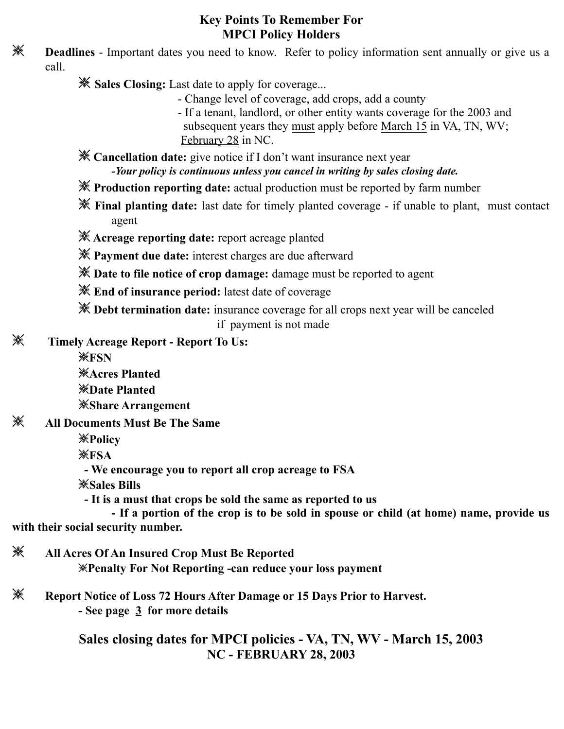#### **Key Points To Remember For MPCI Policy Holders**

**EXECUTE:** Deadlines - Important dates you need to know. Refer to policy information sent annually or give us a call.

- ❇ **Sales Closing:** Last date to apply for coverage...
	- Change level of coverage, add crops, add a county
	- If a tenant, landlord, or other entity wants coverage for the 2003 and subsequent years they must apply before March 15 in VA, TN, WV; February 28 in NC.

❇ **Cancellation date:** give notice if I don't want insurance next year *-Your policy is continuous unless you cancel in writing by sales closing date.*

- ❇ **Production reporting date:** actual production must be reported by farm number
- ❇ **Final planting date:** last date for timely planted coverage if unable to plant, must contact agent
- ❇ **Acreage reporting date:** report acreage planted
- ❇ **Payment due date:** interest charges are due afterward
- ❇ **Date to file notice of crop damage:** damage must be reported to agent
- ❇ **End of insurance period:** latest date of coverage
- ❇ **Debt termination date:** insurance coverage for all crops next year will be canceled

if payment is not made

❇ **Timely Acreage Report - Report To Us:**

❇**FSN**

- ❇**Acres Planted** ❇**Date Planted** ❇**Share Arrangement**
- ❇ **All Documents Must Be The Same**
	- ❇**Policy**
	- ❇**FSA**
	- **We encourage you to report all crop acreage to FSA**
	- ❇**Sales Bills**

 **- It is a must that crops be sold the same as reported to us**

 **- If a portion of the crop is to be sold in spouse or child (at home) name, provide us with their social security number.**

- ❇ **All Acres Of An Insured Crop Must Be Reported** ❇**Penalty For Not Reporting -can reduce your loss payment**
- ❇ **Report Notice of Loss 72 Hours After Damage or 15 Days Prior to Harvest. - See page 3 for more details**

**Sales closing dates for MPCI policies - VA, TN, WV - March 15, 2003 NC - FEBRUARY 28, 2003**